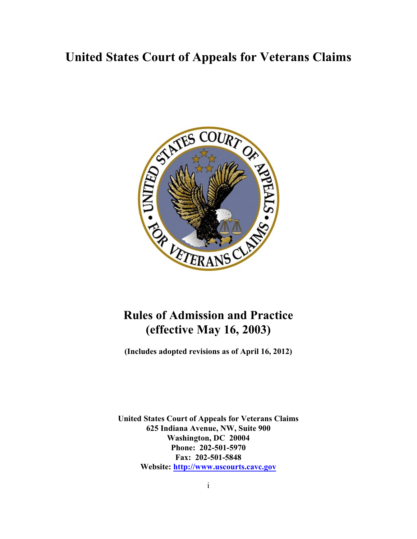# **United States Court of Appeals for Veterans Claims**



# **Rules of Admission and Practice (effective May 16, 2003)**

**(Includes adopted revisions as of April 16, 2012)**

**United States Court of Appeals for Veterans Claims 625 Indiana Avenue, NW, Suite 900 Washington, DC 20004 Phone: 202-501-5970 Fax: 202-501-5848 Website:<http://www.uscourts.cavc.gov>**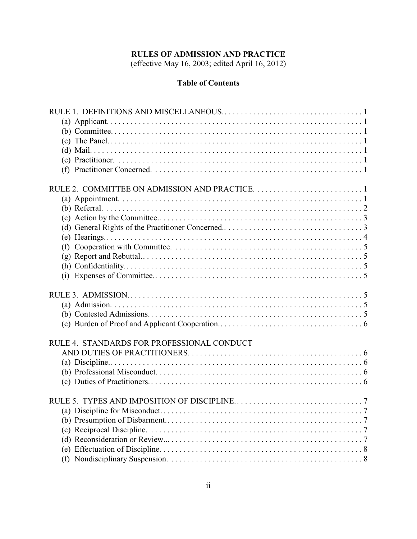## **RULES OF ADMISSION AND PRACTICE**

(effective May 16, 2003; edited April 16, 2012)

## **Table of Contents**

| (f)                                        |
|--------------------------------------------|
|                                            |
|                                            |
|                                            |
|                                            |
|                                            |
|                                            |
|                                            |
|                                            |
|                                            |
| RULE 4. STANDARDS FOR PROFESSIONAL CONDUCT |
|                                            |
|                                            |
|                                            |
|                                            |
|                                            |
|                                            |
|                                            |
|                                            |
|                                            |
|                                            |
|                                            |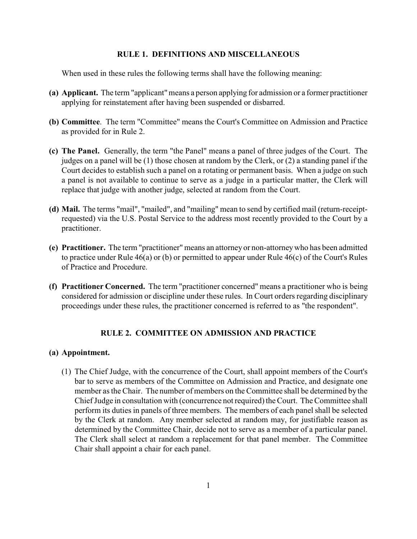#### **RULE 1. DEFINITIONS AND MISCELLANEOUS**

When used in these rules the following terms shall have the following meaning:

- **(a) Applicant.** The term "applicant"means a person applying for admission or a former practitioner applying for reinstatement after having been suspended or disbarred.
- **(b) Committee**. The term "Committee" means the Court's Committee on Admission and Practice as provided for in Rule 2.
- **(c) The Panel.** Generally, the term "the Panel" means a panel of three judges of the Court. The judges on a panel will be (1) those chosen at random by the Clerk, or (2) a standing panel if the Court decides to establish such a panel on a rotating or permanent basis. When a judge on such a panel is not available to continue to serve as a judge in a particular matter, the Clerk will replace that judge with another judge, selected at random from the Court.
- **(d) Mail.** The terms "mail", "mailed", and "mailing" mean to send by certified mail (return-receiptrequested) via the U.S. Postal Service to the address most recently provided to the Court by a practitioner.
- **(e) Practitioner.** The term "practitioner"means an attorney or non-attorneywho has been admitted to practice under Rule 46(a) or (b) or permitted to appear under Rule 46(c) of the Court's Rules of Practice and Procedure.
- **(f) Practitioner Concerned.** The term "practitioner concerned" means a practitioner who is being considered for admission or discipline under these rules. In Court orders regarding disciplinary proceedings under these rules, the practitioner concerned is referred to as "the respondent".

## **RULE 2. COMMITTEE ON ADMISSION AND PRACTICE**

## **(a) Appointment.**

(1) The Chief Judge, with the concurrence of the Court, shall appoint members of the Court's bar to serve as members of the Committee on Admission and Practice, and designate one member as the Chair. The number of members on the Committee shall be determined by the Chief Judge in consultation with (concurrence not required) the Court. The Committee shall perform its duties in panels of three members. The members of each panel shall be selected by the Clerk at random. Any member selected at random may, for justifiable reason as determined by the Committee Chair, decide not to serve as a member of a particular panel. The Clerk shall select at random a replacement for that panel member. The Committee Chair shall appoint a chair for each panel.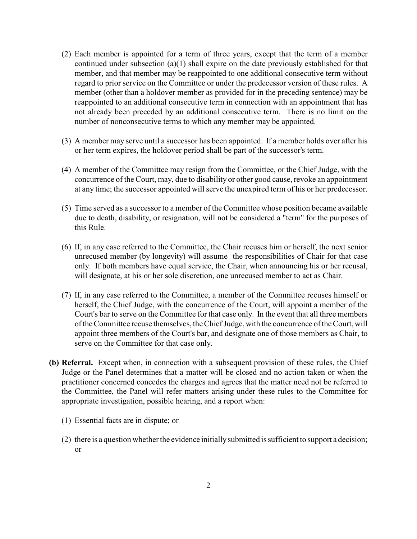- (2) Each member is appointed for a term of three years, except that the term of a member continued under subsection (a)(1) shall expire on the date previously established for that member, and that member may be reappointed to one additional consecutive term without regard to prior service on the Committee or under the predecessor version of these rules. A member (other than a holdover member as provided for in the preceding sentence) may be reappointed to an additional consecutive term in connection with an appointment that has not already been preceded by an additional consecutive term. There is no limit on the number of nonconsecutive terms to which any member may be appointed.
- (3) A member may serve until a successor has been appointed. If a member holds over after his or her term expires, the holdover period shall be part of the successor's term.
- (4) A member of the Committee may resign from the Committee, or the Chief Judge, with the concurrence of the Court, may, due to disability or other good cause, revoke an appointment at any time; the successor appointed will serve the unexpired term of his or her predecessor.
- (5) Time served as a successor to a member of the Committee whose position became available due to death, disability, or resignation, will not be considered a "term" for the purposes of this Rule.
- (6) If, in any case referred to the Committee, the Chair recuses him or herself, the next senior unrecused member (by longevity) will assume the responsibilities of Chair for that case only. If both members have equal service, the Chair, when announcing his or her recusal, will designate, at his or her sole discretion, one unrecused member to act as Chair.
- (7) If, in any case referred to the Committee, a member of the Committee recuses himself or herself, the Chief Judge, with the concurrence of the Court, will appoint a member of the Court's bar to serve on the Committee for that case only. In the event that all three members of the Committee recuse themselves, the Chief Judge, with the concurrence of the Court, will appoint three members of the Court's bar, and designate one of those members as Chair, to serve on the Committee for that case only.
- **(b) Referral.** Except when, in connection with a subsequent provision of these rules, the Chief Judge or the Panel determines that a matter will be closed and no action taken or when the practitioner concerned concedes the charges and agrees that the matter need not be referred to the Committee, the Panel will refer matters arising under these rules to the Committee for appropriate investigation, possible hearing, and a report when:
	- (1) Essential facts are in dispute; or
	- $(2)$  there is a question whether the evidence initially submitted is sufficient to support a decision; or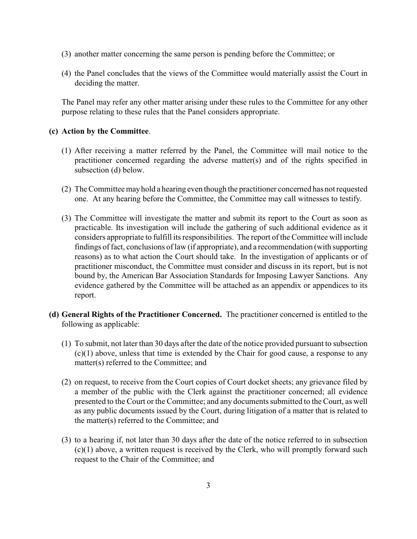- (3) another matter concerning the same person is pending before the Committee; or
- (4) the Panel concludes that the views of the Committee would materially assist the Court in deciding the matter.

The Panel may refer any other matter arising under these rules to the Committee for any other purpose relating to these rules that the Panel considers appropriate.

## **(c) Action by the Committee**.

- (1) After receiving a matter referred by the Panel, the Committee will mail notice to the practitioner concerned regarding the adverse matter(s) and of the rights specified in subsection (d) below.
- (2) The Committee mayhold a hearing even though the practitioner concerned has not requested one. At any hearing before the Committee, the Committee may call witnesses to testify.
- (3) The Committee will investigate the matter and submit its report to the Court as soon as practicable. Its investigation will include the gathering of such additional evidence as it considers appropriate to fulfill its responsibilities. The report of the Committee will include findings of fact, conclusions of law (if appropriate), and a recommendation (with supporting reasons) as to what action the Court should take. In the investigation of applicants or of practitioner misconduct, the Committee must consider and discuss in its report, but is not bound by, the American Bar Association Standards for Imposing Lawyer Sanctions. Any evidence gathered by the Committee will be attached as an appendix or appendices to its report.
- **(d) General Rights of the Practitioner Concerned.** The practitioner concerned is entitled to the following as applicable:
	- (1) To submit, not later than 30 days after the date of the notice provided pursuant to subsection (c)(1) above, unless that time is extended by the Chair for good cause, a response to any matter(s) referred to the Committee; and
	- (2) on request, to receive from the Court copies of Court docket sheets; any grievance filed by a member of the public with the Clerk against the practitioner concerned; all evidence presented to the Court or the Committee; and any documents submitted to the Court, as well as any public documents issued by the Court, during litigation of a matter that is related to the matter(s) referred to the Committee; and
	- (3) to a hearing if, not later than 30 days after the date of the notice referred to in subsection (c)(1) above, a written request is received by the Clerk, who will promptly forward such request to the Chair of the Committee; and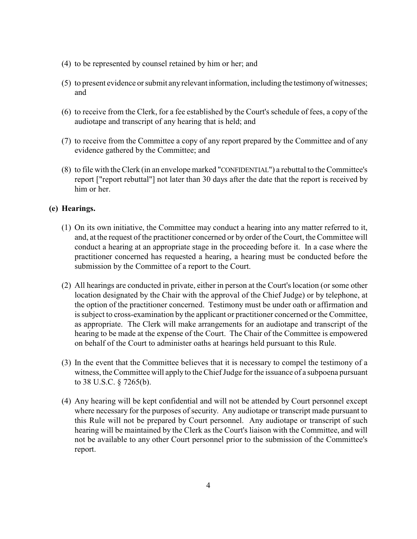- (4) to be represented by counsel retained by him or her; and
- (5) to present evidence or submit anyrelevant information, including the testimonyofwitnesses; and
- (6) to receive from the Clerk, for a fee established by the Court's schedule of fees, a copy of the audiotape and transcript of any hearing that is held; and
- (7) to receive from the Committee a copy of any report prepared by the Committee and of any evidence gathered by the Committee; and
- (8) to file with the Clerk (in an envelope marked "CONFIDENTIAL") a rebuttal to the Committee's report ["report rebuttal"] not later than 30 days after the date that the report is received by him or her.

## **(e) Hearings.**

- (1) On its own initiative, the Committee may conduct a hearing into any matter referred to it, and, at the request of the practitioner concerned or by order of the Court, the Committee will conduct a hearing at an appropriate stage in the proceeding before it. In a case where the practitioner concerned has requested a hearing, a hearing must be conducted before the submission by the Committee of a report to the Court.
- (2) All hearings are conducted in private, either in person at the Court's location (or some other location designated by the Chair with the approval of the Chief Judge) or by telephone, at the option of the practitioner concerned. Testimony must be under oath or affirmation and is subject to cross-examination by the applicant or practitioner concerned or the Committee, as appropriate. The Clerk will make arrangements for an audiotape and transcript of the hearing to be made at the expense of the Court. The Chair of the Committee is empowered on behalf of the Court to administer oaths at hearings held pursuant to this Rule.
- (3) In the event that the Committee believes that it is necessary to compel the testimony of a witness, the Committee will apply to the Chief Judge for the issuance of a subpoena pursuant to 38 U.S.C. § 7265(b).
- (4) Any hearing will be kept confidential and will not be attended by Court personnel except where necessary for the purposes of security. Any audiotape or transcript made pursuant to this Rule will not be prepared by Court personnel. Any audiotape or transcript of such hearing will be maintained by the Clerk as the Court's liaison with the Committee, and will not be available to any other Court personnel prior to the submission of the Committee's report.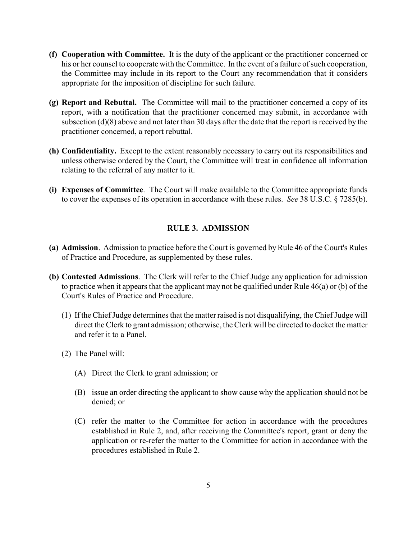- **(f) Cooperation with Committee.** It is the duty of the applicant or the practitioner concerned or his or her counsel to cooperate with the Committee. In the event of a failure of such cooperation, the Committee may include in its report to the Court any recommendation that it considers appropriate for the imposition of discipline for such failure.
- **(g) Report and Rebuttal.** The Committee will mail to the practitioner concerned a copy of its report, with a notification that the practitioner concerned may submit, in accordance with subsection (d)(8) above and not later than 30 days after the date that the report is received by the practitioner concerned, a report rebuttal.
- **(h) Confidentiality.** Except to the extent reasonably necessary to carry out its responsibilities and unless otherwise ordered by the Court, the Committee will treat in confidence all information relating to the referral of any matter to it.
- **(i) Expenses of Committee**. The Court will make available to the Committee appropriate funds to cover the expenses of its operation in accordance with these rules. *See* 38 U.S.C. § 7285(b).

## **RULE 3. ADMISSION**

- **(a) Admission**. Admission to practice before the Court is governed byRule 46 of the Court's Rules of Practice and Procedure, as supplemented by these rules.
- **(b) Contested Admissions**. The Clerk will refer to the Chief Judge any application for admission to practice when it appears that the applicant may not be qualified under Rule 46(a) or (b) of the Court's Rules of Practice and Procedure.
	- (1) If the Chief Judge determines that the matter raised is not disqualifying, the Chief Judge will direct the Clerk to grant admission; otherwise, the Clerk will be directed to docket the matter and refer it to a Panel.
	- (2) The Panel will:
		- (A) Direct the Clerk to grant admission; or
		- (B) issue an order directing the applicant to show cause why the application should not be denied; or
		- (C) refer the matter to the Committee for action in accordance with the procedures established in Rule 2, and, after receiving the Committee's report, grant or deny the application or re-refer the matter to the Committee for action in accordance with the procedures established in Rule 2.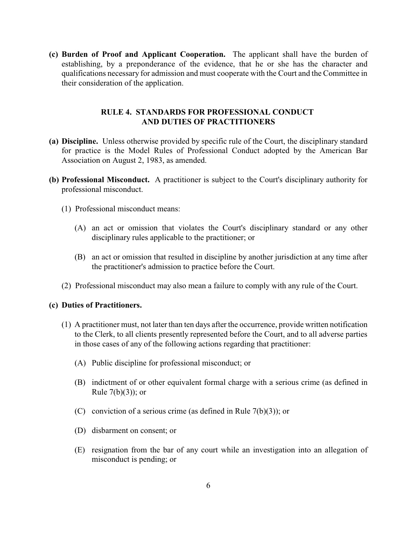**(c) Burden of Proof and Applicant Cooperation.** The applicant shall have the burden of establishing, by a preponderance of the evidence, that he or she has the character and qualifications necessary for admission and must cooperate with the Court and the Committee in their consideration of the application.

## **RULE 4. STANDARDS FOR PROFESSIONAL CONDUCT AND DUTIES OF PRACTITIONERS**

- **(a) Discipline.** Unless otherwise provided by specific rule of the Court, the disciplinary standard for practice is the Model Rules of Professional Conduct adopted by the American Bar Association on August 2, 1983, as amended.
- **(b) Professional Misconduct.** A practitioner is subject to the Court's disciplinary authority for professional misconduct.
	- (1) Professional misconduct means:
		- (A) an act or omission that violates the Court's disciplinary standard or any other disciplinary rules applicable to the practitioner; or
		- (B) an act or omission that resulted in discipline by another jurisdiction at any time after the practitioner's admission to practice before the Court.
	- (2) Professional misconduct may also mean a failure to comply with any rule of the Court.

#### **(c) Duties of Practitioners.**

- (1) A practitioner must, not later than ten days after the occurrence, provide written notification to the Clerk, to all clients presently represented before the Court, and to all adverse parties in those cases of any of the following actions regarding that practitioner:
	- (A) Public discipline for professional misconduct; or
	- (B) indictment of or other equivalent formal charge with a serious crime (as defined in Rule  $7(b)(3)$ ; or
	- (C) conviction of a serious crime (as defined in Rule  $7(b)(3)$ ); or
	- (D) disbarment on consent; or
	- (E) resignation from the bar of any court while an investigation into an allegation of misconduct is pending; or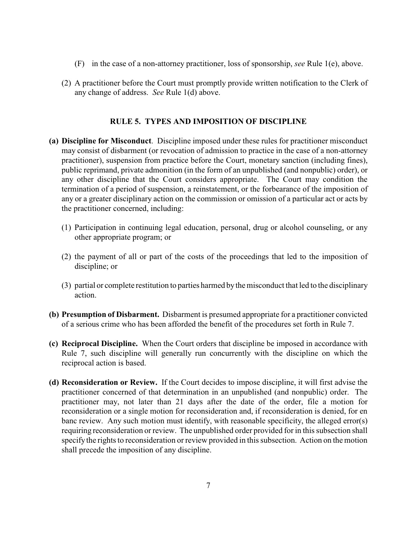- (F) in the case of a non-attorney practitioner, loss of sponsorship, *see* Rule 1(e), above.
- (2) A practitioner before the Court must promptly provide written notification to the Clerk of any change of address. *See* Rule 1(d) above.

#### **RULE 5. TYPES AND IMPOSITION OF DISCIPLINE**

- **(a) Discipline for Misconduct**. Discipline imposed under these rules for practitioner misconduct may consist of disbarment (or revocation of admission to practice in the case of a non-attorney practitioner), suspension from practice before the Court, monetary sanction (including fines), public reprimand, private admonition (in the form of an unpublished (and nonpublic) order), or any other discipline that the Court considers appropriate. The Court may condition the termination of a period of suspension, a reinstatement, or the forbearance of the imposition of any or a greater disciplinary action on the commission or omission of a particular act or acts by the practitioner concerned, including:
	- (1) Participation in continuing legal education, personal, drug or alcohol counseling, or any other appropriate program; or
	- (2) the payment of all or part of the costs of the proceedings that led to the imposition of discipline; or
	- (3) partial or complete restitution to parties harmed bythe misconduct that led to the disciplinary action.
- **(b) Presumption of Disbarment.** Disbarment is presumed appropriate for a practitioner convicted of a serious crime who has been afforded the benefit of the procedures set forth in Rule 7.
- **(c) Reciprocal Discipline.** When the Court orders that discipline be imposed in accordance with Rule 7, such discipline will generally run concurrently with the discipline on which the reciprocal action is based.
- **(d) Reconsideration or Review.** If the Court decides to impose discipline, it will first advise the practitioner concerned of that determination in an unpublished (and nonpublic) order. The practitioner may, not later than 21 days after the date of the order, file a motion for reconsideration or a single motion for reconsideration and, if reconsideration is denied, for en banc review. Any such motion must identify, with reasonable specificity, the alleged error(s) requiring reconsideration or review. The unpublished order provided for in this subsection shall specify the rights to reconsideration or review provided in this subsection. Action on the motion shall precede the imposition of any discipline.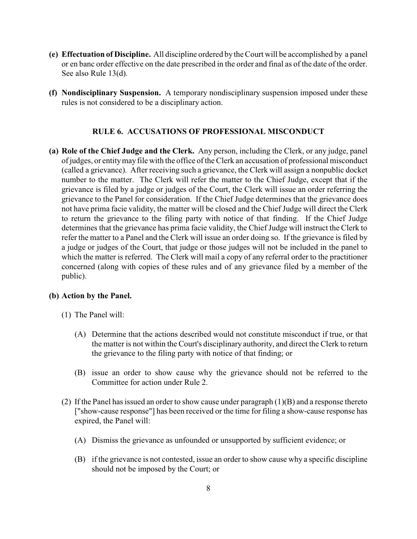- **(e) Effectuation of Discipline.** All discipline ordered by the Court will be accomplished by a panel or en banc order effective on the date prescribed in the order and final as of the date of the order. See also Rule 13(d).
- **(f) Nondisciplinary Suspension.** A temporary nondisciplinary suspension imposed under these rules is not considered to be a disciplinary action.

## **RULE 6. ACCUSATIONS OF PROFESSIONAL MISCONDUCT**

**(a) Role of the Chief Judge and the Clerk.** Any person, including the Clerk, or any judge, panel of judges, or entitymayfile with the office of the Clerk an accusation of professional misconduct (called a grievance). After receiving such a grievance, the Clerk will assign a nonpublic docket number to the matter. The Clerk will refer the matter to the Chief Judge, except that if the grievance is filed by a judge or judges of the Court, the Clerk will issue an order referring the grievance to the Panel for consideration. If the Chief Judge determines that the grievance does not have prima facie validity, the matter will be closed and the Chief Judge will direct the Clerk to return the grievance to the filing party with notice of that finding. If the Chief Judge determines that the grievance has prima facie validity, the Chief Judge will instruct the Clerk to refer the matter to a Panel and the Clerk will issue an order doing so. If the grievance is filed by a judge or judges of the Court, that judge or those judges will not be included in the panel to which the matter is referred. The Clerk will mail a copy of any referral order to the practitioner concerned (along with copies of these rules and of any grievance filed by a member of the public).

## **(b) Action by the Panel.**

- (1) The Panel will:
	- (A) Determine that the actions described would not constitute misconduct if true, or that the matter is not within the Court's disciplinary authority, and direct the Clerk to return the grievance to the filing party with notice of that finding; or
	- (B) issue an order to show cause why the grievance should not be referred to the Committee for action under Rule 2.
- (2) If the Panel has issued an order to show cause under paragraph  $(1)(B)$  and a response thereto ["show-cause response"] has been received or the time for filing a show-cause response has expired, the Panel will:
	- (A) Dismiss the grievance as unfounded or unsupported by sufficient evidence; or
	- (B) if the grievance is not contested, issue an order to show cause why a specific discipline should not be imposed by the Court; or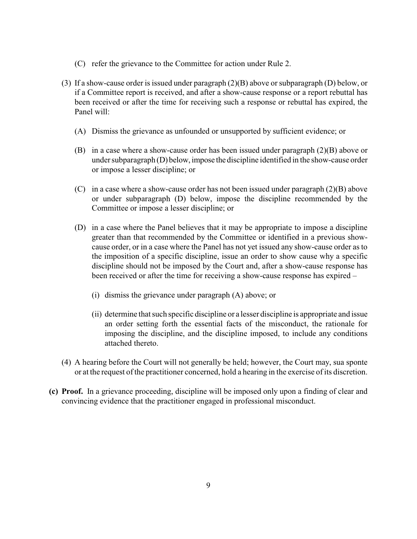- (C) refer the grievance to the Committee for action under Rule 2.
- (3) If a show-cause order is issued under paragraph (2)(B) above or subparagraph (D) below, or if a Committee report is received, and after a show-cause response or a report rebuttal has been received or after the time for receiving such a response or rebuttal has expired, the Panel will:
	- (A) Dismiss the grievance as unfounded or unsupported by sufficient evidence; or
	- (B) in a case where a show-cause order has been issued under paragraph (2)(B) above or under subparagraph (D) below, impose the discipline identified in the show-cause order or impose a lesser discipline; or
	- (C) in a case where a show-cause order has not been issued under paragraph (2)(B) above or under subparagraph (D) below, impose the discipline recommended by the Committee or impose a lesser discipline; or
	- (D) in a case where the Panel believes that it may be appropriate to impose a discipline greater than that recommended by the Committee or identified in a previous showcause order, or in a case where the Panel has not yet issued any show-cause order as to the imposition of a specific discipline, issue an order to show cause why a specific discipline should not be imposed by the Court and, after a show-cause response has been received or after the time for receiving a show-cause response has expired –
		- (i) dismiss the grievance under paragraph (A) above; or
		- (ii) determine that such specific discipline or a lesser discipline is appropriate and issue an order setting forth the essential facts of the misconduct, the rationale for imposing the discipline, and the discipline imposed, to include any conditions attached thereto.
- (4) A hearing before the Court will not generally be held; however, the Court may, sua sponte or at the request of the practitioner concerned, hold a hearing in the exercise of its discretion.
- **(c) Proof.** In a grievance proceeding, discipline will be imposed only upon a finding of clear and convincing evidence that the practitioner engaged in professional misconduct.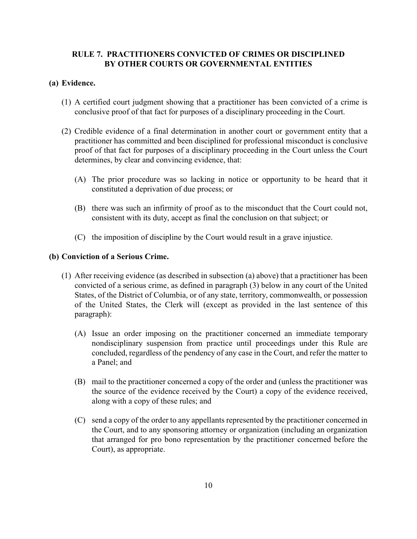## **RULE 7. PRACTITIONERS CONVICTED OF CRIMES OR DISCIPLINED BY OTHER COURTS OR GOVERNMENTAL ENTITIES**

## **(a) Evidence.**

- (1) A certified court judgment showing that a practitioner has been convicted of a crime is conclusive proof of that fact for purposes of a disciplinary proceeding in the Court.
- (2) Credible evidence of a final determination in another court or government entity that a practitioner has committed and been disciplined for professional misconduct is conclusive proof of that fact for purposes of a disciplinary proceeding in the Court unless the Court determines, by clear and convincing evidence, that:
	- (A) The prior procedure was so lacking in notice or opportunity to be heard that it constituted a deprivation of due process; or
	- (B) there was such an infirmity of proof as to the misconduct that the Court could not, consistent with its duty, accept as final the conclusion on that subject; or
	- (C) the imposition of discipline by the Court would result in a grave injustice.

#### **(b) Conviction of a Serious Crime.**

- (1) After receiving evidence (as described in subsection (a) above) that a practitioner has been convicted of a serious crime, as defined in paragraph (3) below in any court of the United States, of the District of Columbia, or of any state, territory, commonwealth, or possession of the United States, the Clerk will (except as provided in the last sentence of this paragraph):
	- (A) Issue an order imposing on the practitioner concerned an immediate temporary nondisciplinary suspension from practice until proceedings under this Rule are concluded, regardless of the pendency of any case in the Court, and refer the matter to a Panel; and
	- (B) mail to the practitioner concerned a copy of the order and (unless the practitioner was the source of the evidence received by the Court) a copy of the evidence received, along with a copy of these rules; and
	- (C) send a copy of the order to any appellants represented by the practitioner concerned in the Court, and to any sponsoring attorney or organization (including an organization that arranged for pro bono representation by the practitioner concerned before the Court), as appropriate.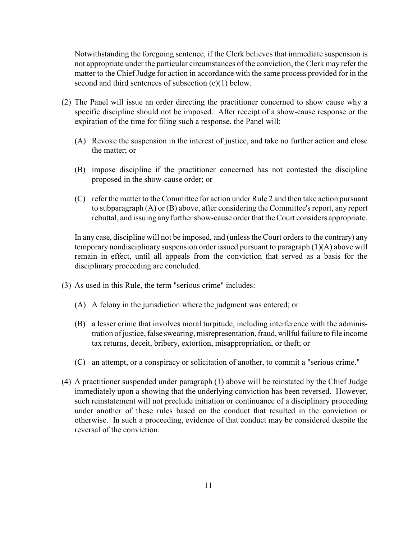Notwithstanding the foregoing sentence, if the Clerk believes that immediate suspension is not appropriate under the particular circumstances of the conviction, the Clerk may refer the matter to the Chief Judge for action in accordance with the same process provided for in the second and third sentences of subsection (c)(1) below.

- (2) The Panel will issue an order directing the practitioner concerned to show cause why a specific discipline should not be imposed. After receipt of a show-cause response or the expiration of the time for filing such a response, the Panel will:
	- (A) Revoke the suspension in the interest of justice, and take no further action and close the matter; or
	- (B) impose discipline if the practitioner concerned has not contested the discipline proposed in the show-cause order; or
	- (C) refer the matter to the Committee for action under Rule 2 and then take action pursuant to subparagraph (A) or (B) above, after considering the Committee's report, any report rebuttal, and issuing any further show-cause order that the Court considers appropriate.

In any case, discipline will not be imposed, and (unless the Court orders to the contrary) any temporary nondisciplinary suspension order issued pursuant to paragraph (1)(A) above will remain in effect, until all appeals from the conviction that served as a basis for the disciplinary proceeding are concluded.

- (3) As used in this Rule, the term "serious crime" includes:
	- (A) A felony in the jurisdiction where the judgment was entered; or
	- (B) a lesser crime that involves moral turpitude, including interference with the administration of justice, false swearing, misrepresentation, fraud, willful failure to file income tax returns, deceit, bribery, extortion, misappropriation, or theft; or
	- (C) an attempt, or a conspiracy or solicitation of another, to commit a "serious crime."
- (4) A practitioner suspended under paragraph (1) above will be reinstated by the Chief Judge immediately upon a showing that the underlying conviction has been reversed. However, such reinstatement will not preclude initiation or continuance of a disciplinary proceeding under another of these rules based on the conduct that resulted in the conviction or otherwise. In such a proceeding, evidence of that conduct may be considered despite the reversal of the conviction.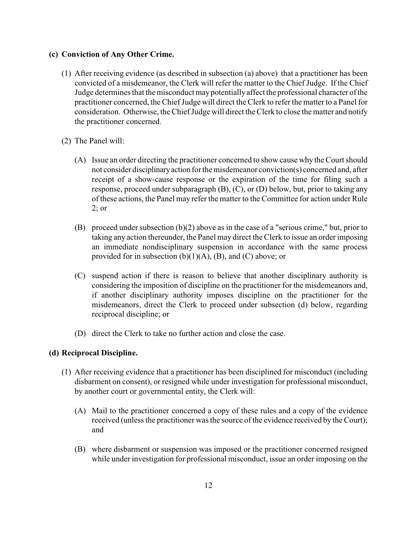## **(c) Conviction of Any Other Crime.**

- (1) After receiving evidence (as described in subsection (a) above) that a practitioner has been convicted of a misdemeanor, the Clerk will refer the matter to the Chief Judge. If the Chief Judge determines that the misconduct maypotentiallyaffect the professional character of the practitioner concerned, the Chief Judge will direct the Clerk to refer the matter to a Panel for consideration. Otherwise, the Chief Judge will direct the Clerk to close the matter and notify the practitioner concerned.
- (2) The Panel will:
	- (A) Issue an order directing the practitioner concerned to show cause why the Court should not consider disciplinaryaction for the misdemeanor conviction(s) concerned and, after receipt of a show-cause response or the expiration of the time for filing such a response, proceed under subparagraph (B), (C), or (D) below, but, prior to taking any of these actions, the Panel may refer the matter to the Committee for action under Rule 2; or
	- (B) proceed under subsection (b)(2) above as in the case of a "serious crime," but, prior to taking any action thereunder, the Panel may direct the Clerk to issue an order imposing an immediate nondisciplinary suspension in accordance with the same process provided for in subsection  $(b)(1)(A)$ ,  $(B)$ , and  $(C)$  above; or
	- (C) suspend action if there is reason to believe that another disciplinary authority is considering the imposition of discipline on the practitioner for the misdemeanors and, if another disciplinary authority imposes discipline on the practitioner for the misdemeanors, direct the Clerk to proceed under subsection (d) below, regarding reciprocal discipline; or
	- (D) direct the Clerk to take no further action and close the case.

#### **(d) Reciprocal Discipline.**

- (1) After receiving evidence that a practitioner has been disciplined for misconduct (including disbarment on consent), or resigned while under investigation for professional misconduct, by another court or governmental entity, the Clerk will:
	- (A) Mail to the practitioner concerned a copy of these rules and a copy of the evidence received (unless the practitioner was the source of the evidence received by the Court); and
	- (B) where disbarment or suspension was imposed or the practitioner concerned resigned while under investigation for professional misconduct, issue an order imposing on the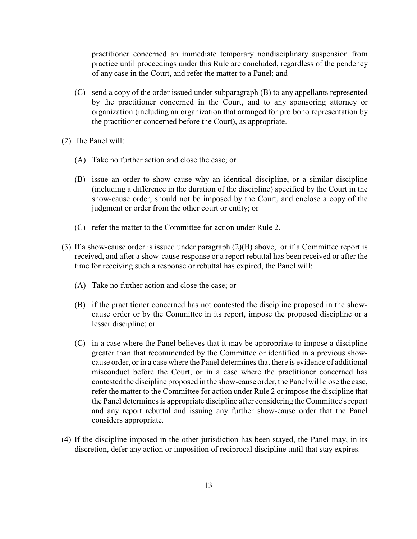practitioner concerned an immediate temporary nondisciplinary suspension from practice until proceedings under this Rule are concluded, regardless of the pendency of any case in the Court, and refer the matter to a Panel; and

- (C) send a copy of the order issued under subparagraph (B) to any appellants represented by the practitioner concerned in the Court, and to any sponsoring attorney or organization (including an organization that arranged for pro bono representation by the practitioner concerned before the Court), as appropriate.
- (2) The Panel will:
	- (A) Take no further action and close the case; or
	- (B) issue an order to show cause why an identical discipline, or a similar discipline (including a difference in the duration of the discipline) specified by the Court in the show-cause order, should not be imposed by the Court, and enclose a copy of the judgment or order from the other court or entity; or
	- (C) refer the matter to the Committee for action under Rule 2.
- (3) If a show-cause order is issued under paragraph (2)(B) above, or if a Committee report is received, and after a show-cause response or a report rebuttal has been received or after the time for receiving such a response or rebuttal has expired, the Panel will:
	- (A) Take no further action and close the case; or
	- (B) if the practitioner concerned has not contested the discipline proposed in the showcause order or by the Committee in its report, impose the proposed discipline or a lesser discipline; or
	- (C) in a case where the Panel believes that it may be appropriate to impose a discipline greater than that recommended by the Committee or identified in a previous showcause order, or in a case where the Panel determines that there is evidence of additional misconduct before the Court, or in a case where the practitioner concerned has contested the discipline proposed in the show-cause order, the Panel will close the case, refer the matter to the Committee for action under Rule 2 or impose the discipline that the Panel determines is appropriate discipline after considering the Committee's report and any report rebuttal and issuing any further show-cause order that the Panel considers appropriate.
- (4) If the discipline imposed in the other jurisdiction has been stayed, the Panel may, in its discretion, defer any action or imposition of reciprocal discipline until that stay expires.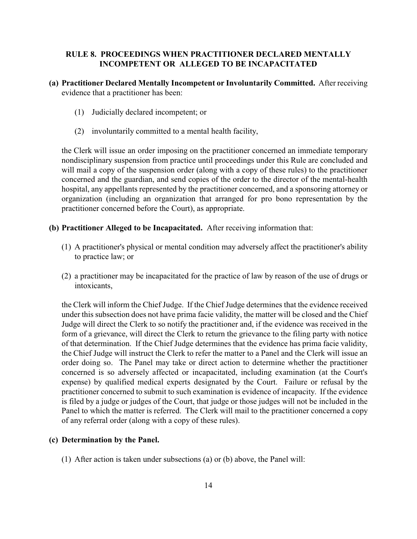## **RULE 8. PROCEEDINGS WHEN PRACTITIONER DECLARED MENTALLY INCOMPETENT OR ALLEGED TO BE INCAPACITATED**

## **(a) Practitioner Declared Mentally Incompetent or Involuntarily Committed.** After receiving evidence that a practitioner has been:

- (1) Judicially declared incompetent; or
- (2) involuntarily committed to a mental health facility,

the Clerk will issue an order imposing on the practitioner concerned an immediate temporary nondisciplinary suspension from practice until proceedings under this Rule are concluded and will mail a copy of the suspension order (along with a copy of these rules) to the practitioner concerned and the guardian, and send copies of the order to the director of the mental-health hospital, any appellants represented by the practitioner concerned, and a sponsoring attorney or organization (including an organization that arranged for pro bono representation by the practitioner concerned before the Court), as appropriate.

- **(b) Practitioner Alleged to be Incapacitated.** After receiving information that:
	- (1) A practitioner's physical or mental condition may adversely affect the practitioner's ability to practice law; or
	- (2) a practitioner may be incapacitated for the practice of law by reason of the use of drugs or intoxicants,

the Clerk will inform the Chief Judge. If the Chief Judge determines that the evidence received under this subsection does not have prima facie validity, the matter will be closed and the Chief Judge will direct the Clerk to so notify the practitioner and, if the evidence was received in the form of a grievance, will direct the Clerk to return the grievance to the filing party with notice of that determination. If the Chief Judge determines that the evidence has prima facie validity, the Chief Judge will instruct the Clerk to refer the matter to a Panel and the Clerk will issue an order doing so. The Panel may take or direct action to determine whether the practitioner concerned is so adversely affected or incapacitated, including examination (at the Court's expense) by qualified medical experts designated by the Court. Failure or refusal by the practitioner concerned to submit to such examination is evidence of incapacity. If the evidence is filed by a judge or judges of the Court, that judge or those judges will not be included in the Panel to which the matter is referred. The Clerk will mail to the practitioner concerned a copy of any referral order (along with a copy of these rules).

#### **(c) Determination by the Panel.**

(1) After action is taken under subsections (a) or (b) above, the Panel will: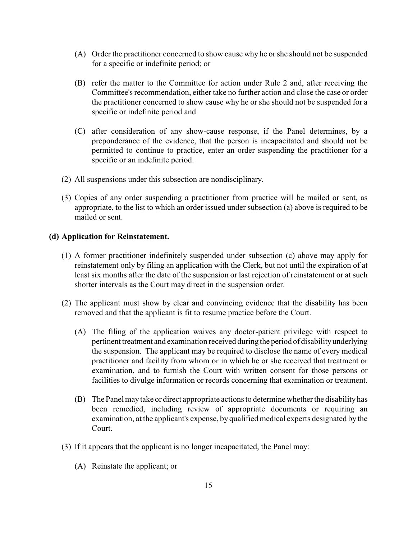- (A) Order the practitioner concerned to show cause why he or she should not be suspended for a specific or indefinite period; or
- (B) refer the matter to the Committee for action under Rule 2 and, after receiving the Committee's recommendation, either take no further action and close the case or order the practitioner concerned to show cause why he or she should not be suspended for a specific or indefinite period and
- (C) after consideration of any show-cause response, if the Panel determines, by a preponderance of the evidence, that the person is incapacitated and should not be permitted to continue to practice, enter an order suspending the practitioner for a specific or an indefinite period.
- (2) All suspensions under this subsection are nondisciplinary.
- (3) Copies of any order suspending a practitioner from practice will be mailed or sent, as appropriate, to the list to which an order issued under subsection (a) above is required to be mailed or sent.

#### **(d) Application for Reinstatement.**

- (1) A former practitioner indefinitely suspended under subsection (c) above may apply for reinstatement only by filing an application with the Clerk, but not until the expiration of at least six months after the date of the suspension or last rejection of reinstatement or at such shorter intervals as the Court may direct in the suspension order.
- (2) The applicant must show by clear and convincing evidence that the disability has been removed and that the applicant is fit to resume practice before the Court.
	- (A) The filing of the application waives any doctor-patient privilege with respect to pertinent treatment and examination received during the period of disabilityunderlying the suspension. The applicant may be required to disclose the name of every medical practitioner and facility from whom or in which he or she received that treatment or examination, and to furnish the Court with written consent for those persons or facilities to divulge information or records concerning that examination or treatment.
	- (B) The Panel maytake or direct appropriate actions to determine whether the disability has been remedied, including review of appropriate documents or requiring an examination, at the applicant's expense, by qualified medical experts designated by the Court.
- (3) If it appears that the applicant is no longer incapacitated, the Panel may:
	- (A) Reinstate the applicant; or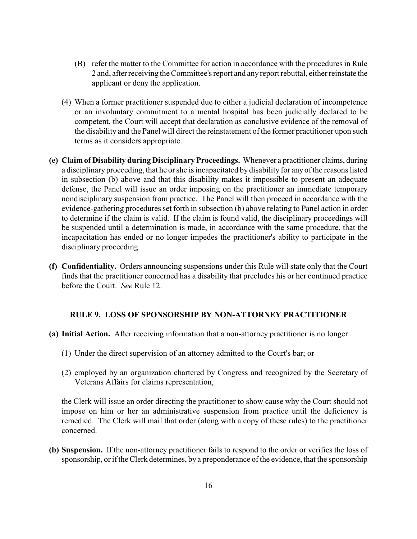- (B) refer the matter to the Committee for action in accordance with the procedures in Rule 2 and, after receiving the Committee's report and any report rebuttal, either reinstate the applicant or deny the application.
- (4) When a former practitioner suspended due to either a judicial declaration of incompetence or an involuntary commitment to a mental hospital has been judicially declared to be competent, the Court will accept that declaration as conclusive evidence of the removal of the disability and the Panel will direct the reinstatement of the former practitioner upon such terms as it considers appropriate.
- **(e) Claim of Disability during Disciplinary Proceedings.** Whenever a practitioner claims, during a disciplinary proceeding, that he or she is incapacitated by disability for any of the reasons listed in subsection (b) above and that this disability makes it impossible to present an adequate defense, the Panel will issue an order imposing on the practitioner an immediate temporary nondisciplinary suspension from practice. The Panel will then proceed in accordance with the evidence-gathering procedures set forth in subsection (b) above relating to Panel action in order to determine if the claim is valid. If the claim is found valid, the disciplinary proceedings will be suspended until a determination is made, in accordance with the same procedure, that the incapacitation has ended or no longer impedes the practitioner's ability to participate in the disciplinary proceeding.
- **(f) Confidentiality.** Orders announcing suspensions under this Rule will state only that the Court finds that the practitioner concerned has a disability that precludes his or her continued practice before the Court. *See* Rule 12.

#### **RULE 9. LOSS OF SPONSORSHIP BY NON-ATTORNEY PRACTITIONER**

#### **(a) Initial Action.** After receiving information that a non-attorney practitioner is no longer:

- (1) Under the direct supervision of an attorney admitted to the Court's bar; or
- (2) employed by an organization chartered by Congress and recognized by the Secretary of Veterans Affairs for claims representation,

the Clerk will issue an order directing the practitioner to show cause why the Court should not impose on him or her an administrative suspension from practice until the deficiency is remedied. The Clerk will mail that order (along with a copy of these rules) to the practitioner concerned.

**(b) Suspension.** If the non-attorney practitioner fails to respond to the order or verifies the loss of sponsorship, or if the Clerk determines, by a preponderance of the evidence, that the sponsorship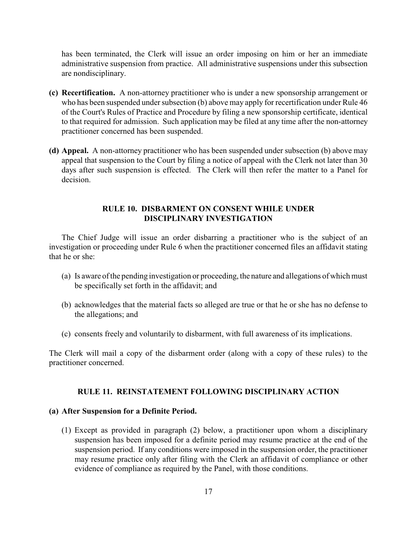has been terminated, the Clerk will issue an order imposing on him or her an immediate administrative suspension from practice. All administrative suspensions under this subsection are nondisciplinary.

- **(c) Recertification.** A non-attorney practitioner who is under a new sponsorship arrangement or who has been suspended under subsection (b) above may apply for recertification under Rule 46 of the Court's Rules of Practice and Procedure by filing a new sponsorship certificate, identical to that required for admission. Such application may be filed at any time after the non-attorney practitioner concerned has been suspended.
- **(d) Appeal.** A non-attorney practitioner who has been suspended under subsection (b) above may appeal that suspension to the Court by filing a notice of appeal with the Clerk not later than 30 days after such suspension is effected. The Clerk will then refer the matter to a Panel for decision.

## **RULE 10. DISBARMENT ON CONSENT WHILE UNDER DISCIPLINARY INVESTIGATION**

The Chief Judge will issue an order disbarring a practitioner who is the subject of an investigation or proceeding under Rule 6 when the practitioner concerned files an affidavit stating that he or she:

- (a) Is aware of the pending investigation or proceeding, the nature and allegations of which must be specifically set forth in the affidavit; and
- (b) acknowledges that the material facts so alleged are true or that he or she has no defense to the allegations; and
- (c) consents freely and voluntarily to disbarment, with full awareness of its implications.

The Clerk will mail a copy of the disbarment order (along with a copy of these rules) to the practitioner concerned.

#### **RULE 11. REINSTATEMENT FOLLOWING DISCIPLINARY ACTION**

#### **(a) After Suspension for a Definite Period.**

(1) Except as provided in paragraph (2) below, a practitioner upon whom a disciplinary suspension has been imposed for a definite period may resume practice at the end of the suspension period. If any conditions were imposed in the suspension order, the practitioner may resume practice only after filing with the Clerk an affidavit of compliance or other evidence of compliance as required by the Panel, with those conditions.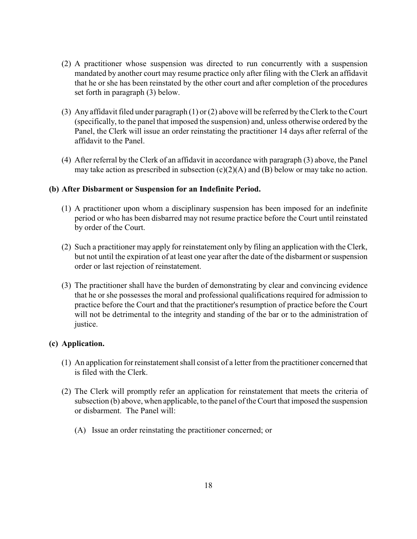- (2) A practitioner whose suspension was directed to run concurrently with a suspension mandated by another court may resume practice only after filing with the Clerk an affidavit that he or she has been reinstated by the other court and after completion of the procedures set forth in paragraph (3) below.
- (3) Any affidavit filed under paragraph (1) or (2) above will be referred by the Clerk to the Court (specifically, to the panel that imposed the suspension) and, unless otherwise ordered by the Panel, the Clerk will issue an order reinstating the practitioner 14 days after referral of the affidavit to the Panel.
- (4) After referral by the Clerk of an affidavit in accordance with paragraph (3) above, the Panel may take action as prescribed in subsection  $(c)(2)(A)$  and  $(B)$  below or may take no action.

#### **(b) After Disbarment or Suspension for an Indefinite Period.**

- (1) A practitioner upon whom a disciplinary suspension has been imposed for an indefinite period or who has been disbarred may not resume practice before the Court until reinstated by order of the Court.
- (2) Such a practitioner may apply for reinstatement only by filing an application with the Clerk, but not until the expiration of at least one year after the date of the disbarment or suspension order or last rejection of reinstatement.
- (3) The practitioner shall have the burden of demonstrating by clear and convincing evidence that he or she possesses the moral and professional qualifications required for admission to practice before the Court and that the practitioner's resumption of practice before the Court will not be detrimental to the integrity and standing of the bar or to the administration of justice.

## **(c) Application.**

- (1) An application for reinstatement shall consist of a letter from the practitioner concerned that is filed with the Clerk.
- (2) The Clerk will promptly refer an application for reinstatement that meets the criteria of subsection (b) above, when applicable, to the panel of the Court that imposed the suspension or disbarment. The Panel will:
	- (A) Issue an order reinstating the practitioner concerned; or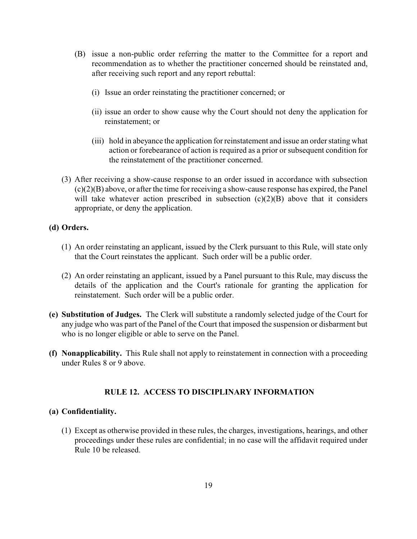- (B) issue a non-public order referring the matter to the Committee for a report and recommendation as to whether the practitioner concerned should be reinstated and, after receiving such report and any report rebuttal:
	- (i) Issue an order reinstating the practitioner concerned; or
	- (ii) issue an order to show cause why the Court should not deny the application for reinstatement; or
	- (iii) hold in abeyance the application for reinstatement and issue an order stating what action or forebearance of action is required as a prior or subsequent condition for the reinstatement of the practitioner concerned.
- (3) After receiving a show-cause response to an order issued in accordance with subsection  $(c)(2)(B)$  above, or after the time for receiving a show-cause response has expired, the Panel will take whatever action prescribed in subsection  $(c)(2)(B)$  above that it considers appropriate, or deny the application.

#### **(d) Orders.**

- (1) An order reinstating an applicant, issued by the Clerk pursuant to this Rule, will state only that the Court reinstates the applicant. Such order will be a public order.
- (2) An order reinstating an applicant, issued by a Panel pursuant to this Rule, may discuss the details of the application and the Court's rationale for granting the application for reinstatement. Such order will be a public order.
- **(e) Substitution of Judges.** The Clerk will substitute a randomly selected judge of the Court for any judge who was part of the Panel of the Court that imposed the suspension or disbarment but who is no longer eligible or able to serve on the Panel.
- **(f) Nonapplicability.** This Rule shall not apply to reinstatement in connection with a proceeding under Rules 8 or 9 above.

## **RULE 12. ACCESS TO DISCIPLINARY INFORMATION**

#### **(a) Confidentiality.**

(1) Except as otherwise provided in these rules, the charges, investigations, hearings, and other proceedings under these rules are confidential; in no case will the affidavit required under Rule 10 be released.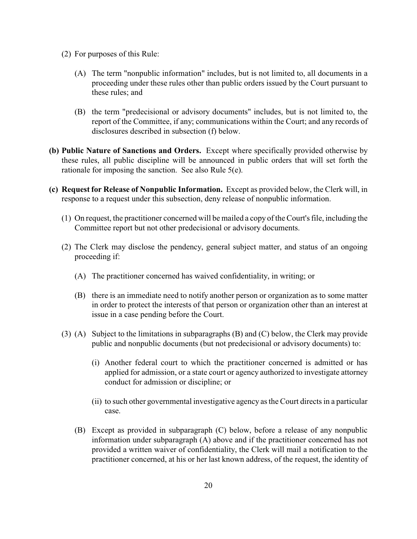- (2) For purposes of this Rule:
	- (A) The term "nonpublic information" includes, but is not limited to, all documents in a proceeding under these rules other than public orders issued by the Court pursuant to these rules; and
	- (B) the term "predecisional or advisory documents" includes, but is not limited to, the report of the Committee, if any; communications within the Court; and any records of disclosures described in subsection (f) below.
- **(b) Public Nature of Sanctions and Orders.** Except where specifically provided otherwise by these rules, all public discipline will be announced in public orders that will set forth the rationale for imposing the sanction. See also Rule 5(e).
- **(c) Request for Release of Nonpublic Information.** Except as provided below, the Clerk will, in response to a request under this subsection, deny release of nonpublic information.
	- (1) On request, the practitioner concerned will be mailed a copy of the Court's file, including the Committee report but not other predecisional or advisory documents.
	- (2) The Clerk may disclose the pendency, general subject matter, and status of an ongoing proceeding if:
		- (A) The practitioner concerned has waived confidentiality, in writing; or
		- (B) there is an immediate need to notify another person or organization as to some matter in order to protect the interests of that person or organization other than an interest at issue in a case pending before the Court.
	- (3) (A) Subject to the limitations in subparagraphs (B) and (C) below, the Clerk may provide public and nonpublic documents (but not predecisional or advisory documents) to:
		- (i) Another federal court to which the practitioner concerned is admitted or has applied for admission, or a state court or agency authorized to investigate attorney conduct for admission or discipline; or
		- (ii) to such other governmental investigative agency as the Court directs in a particular case.
		- (B) Except as provided in subparagraph (C) below, before a release of any nonpublic information under subparagraph (A) above and if the practitioner concerned has not provided a written waiver of confidentiality, the Clerk will mail a notification to the practitioner concerned, at his or her last known address, of the request, the identity of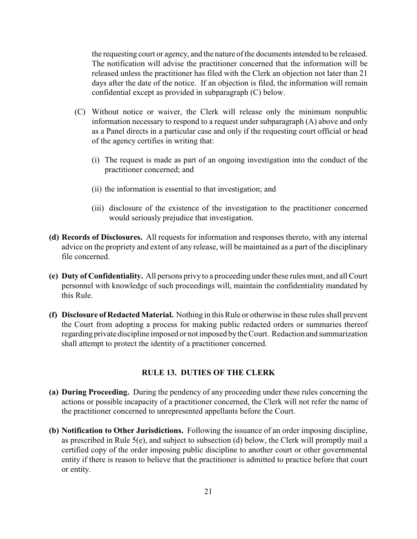the requesting court or agency, and the nature of the documents intended to be released. The notification will advise the practitioner concerned that the information will be released unless the practitioner has filed with the Clerk an objection not later than 21 days after the date of the notice. If an objection is filed, the information will remain confidential except as provided in subparagraph (C) below.

- (C) Without notice or waiver, the Clerk will release only the minimum nonpublic information necessary to respond to a request under subparagraph (A) above and only as a Panel directs in a particular case and only if the requesting court official or head of the agency certifies in writing that:
	- (i) The request is made as part of an ongoing investigation into the conduct of the practitioner concerned; and
	- (ii) the information is essential to that investigation; and
	- (iii) disclosure of the existence of the investigation to the practitioner concerned would seriously prejudice that investigation.
- **(d) Records of Disclosures.** All requests for information and responses thereto, with any internal advice on the propriety and extent of any release, will be maintained as a part of the disciplinary file concerned.
- **(e) Duty of Confidentiality.** All persons privy to a proceeding under these rules must, and all Court personnel with knowledge of such proceedings will, maintain the confidentiality mandated by this Rule.
- **(f) Disclosure of Redacted Material.** Nothing in this Rule or otherwise in these rules shall prevent the Court from adopting a process for making public redacted orders or summaries thereof regarding private discipline imposed or not imposed bythe Court. Redaction and summarization shall attempt to protect the identity of a practitioner concerned.

#### **RULE 13. DUTIES OF THE CLERK**

- **(a) During Proceeding.** During the pendency of any proceeding under these rules concerning the actions or possible incapacity of a practitioner concerned, the Clerk will not refer the name of the practitioner concerned to unrepresented appellants before the Court.
- **(b) Notification to Other Jurisdictions.** Following the issuance of an order imposing discipline, as prescribed in Rule 5(e), and subject to subsection (d) below, the Clerk will promptly mail a certified copy of the order imposing public discipline to another court or other governmental entity if there is reason to believe that the practitioner is admitted to practice before that court or entity.